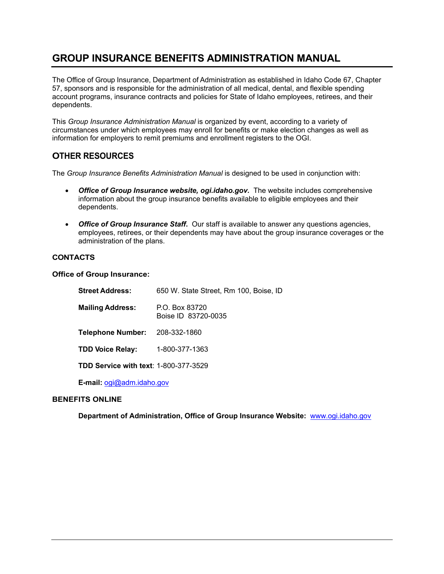# **GROUP INSURANCE BENEFITS ADMINISTRATION MANUAL**

The Office of Group Insurance, Department of Administration as established in Idaho Code 67, Chapter 57, sponsors and is responsible for the administration of all medical, dental, and flexible spending account programs, insurance contracts and policies for State of Idaho employees, retirees, and their dependents.

This *Group Insurance Administration Manual* is organized by event, according to a variety of circumstances under which employees may enroll for benefits or make election changes as well as information for employers to remit premiums and enrollment registers to the OGI.

## **OTHER RESOURCES**

The *Group Insurance Benefits Administration Manual* is designed to be used in conjunction with:

- *Office of Group Insurance website, ogi.idaho.gov.* The website includes comprehensive information about the group insurance benefits available to eligible employees and their dependents.
- *Office of Group Insurance Staff.* Our staff is available to answer any questions agencies, employees, retirees, or their dependents may have about the group insurance coverages or the administration of the plans.

## **CONTACTS**

**Office of Group Insurance:**

| <b>Street Address:</b>                       | 650 W. State Street, Rm 100, Boise, ID |
|----------------------------------------------|----------------------------------------|
| <b>Mailing Address:</b>                      | P.O. Box 83720<br>Boise ID 83720-0035  |
| <b>Telephone Number:</b>                     | 208-332-1860                           |
| <b>TDD Voice Relay:</b>                      | 1-800-377-1363                         |
| <b>TDD Service with text: 1-800-377-3529</b> |                                        |

 **E-mail:** ogi@adm.idaho.gov

## **BENEFITS ONLINE**

**Department of Administration, Office of Group Insurance Website:** www.ogi.idaho.gov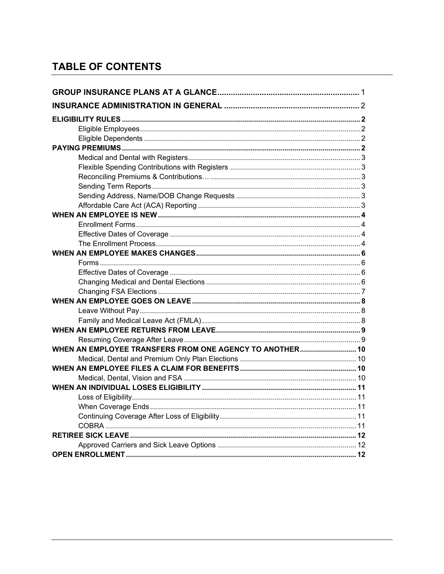# **TABLE OF CONTENTS**

| WHEN AN EMPLOYEE TRANSFERS FROM ONE AGENCY TO ANOTHER 10 |  |  |  |
|----------------------------------------------------------|--|--|--|
|                                                          |  |  |  |
|                                                          |  |  |  |
|                                                          |  |  |  |
|                                                          |  |  |  |
|                                                          |  |  |  |
|                                                          |  |  |  |
|                                                          |  |  |  |
|                                                          |  |  |  |
|                                                          |  |  |  |
|                                                          |  |  |  |
|                                                          |  |  |  |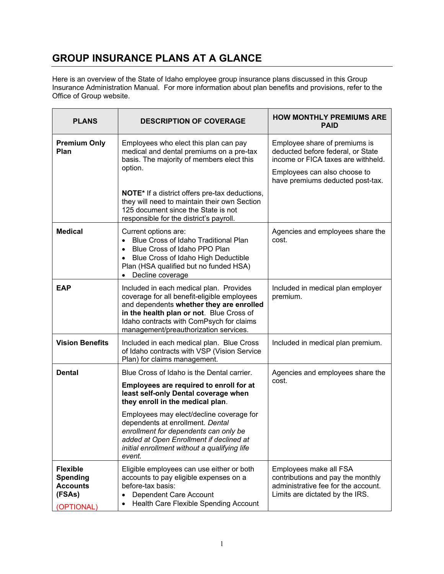# **GROUP INSURANCE PLANS AT A GLANCE**

Here is an overview of the State of Idaho employee group insurance plans discussed in this Group Insurance Administration Manual. For more information about plan benefits and provisions, refer to the Office of Group website.

| <b>PLANS</b>                                                                  | <b>DESCRIPTION OF COVERAGE</b>                                                                                                                                                                                                                                                                                                                                                                  | <b>HOW MONTHLY PREMIUMS ARE</b><br><b>PAID</b>                                                                                                                               |
|-------------------------------------------------------------------------------|-------------------------------------------------------------------------------------------------------------------------------------------------------------------------------------------------------------------------------------------------------------------------------------------------------------------------------------------------------------------------------------------------|------------------------------------------------------------------------------------------------------------------------------------------------------------------------------|
| <b>Premium Only</b><br>Plan                                                   | Employees who elect this plan can pay<br>medical and dental premiums on a pre-tax<br>basis. The majority of members elect this<br>option.                                                                                                                                                                                                                                                       | Employee share of premiums is<br>deducted before federal, or State<br>income or FICA taxes are withheld.<br>Employees can also choose to<br>have premiums deducted post-tax. |
|                                                                               | <b>NOTE*</b> If a district offers pre-tax deductions,<br>they will need to maintain their own Section<br>125 document since the State is not<br>responsible for the district's payroll.                                                                                                                                                                                                         |                                                                                                                                                                              |
| <b>Medical</b>                                                                | Current options are:<br>Blue Cross of Idaho Traditional Plan<br>$\bullet$<br>Blue Cross of Idaho PPO Plan<br>$\bullet$<br>Blue Cross of Idaho High Deductible<br>$\bullet$<br>Plan (HSA qualified but no funded HSA)<br>Decline coverage                                                                                                                                                        | Agencies and employees share the<br>cost.                                                                                                                                    |
| <b>EAP</b>                                                                    | Included in each medical plan. Provides<br>coverage for all benefit-eligible employees<br>and dependents whether they are enrolled<br>in the health plan or not. Blue Cross of<br>Idaho contracts with ComPsych for claims<br>management/preauthorization services.                                                                                                                             | Included in medical plan employer<br>premium.                                                                                                                                |
| <b>Vision Benefits</b>                                                        | Included in each medical plan. Blue Cross<br>of Idaho contracts with VSP (Vision Service<br>Plan) for claims management.                                                                                                                                                                                                                                                                        | Included in medical plan premium.                                                                                                                                            |
| <b>Dental</b>                                                                 | Blue Cross of Idaho is the Dental carrier.<br>Employees are required to enroll for at<br>least self-only Dental coverage when<br>they enroll in the medical plan.<br>Employees may elect/decline coverage for<br>dependents at enrollment. Dental<br>enrollment for dependents can only be<br>added at Open Enrollment if declined at<br>initial enrollment without a qualifying life<br>event. | Agencies and employees share the<br>cost.                                                                                                                                    |
| <b>Flexible</b><br><b>Spending</b><br><b>Accounts</b><br>(FSAs)<br>(OPTIONAL) | Eligible employees can use either or both<br>accounts to pay eligible expenses on a<br>before-tax basis:<br>Dependent Care Account<br>Health Care Flexible Spending Account                                                                                                                                                                                                                     | Employees make all FSA<br>contributions and pay the monthly<br>administrative fee for the account.<br>Limits are dictated by the IRS.                                        |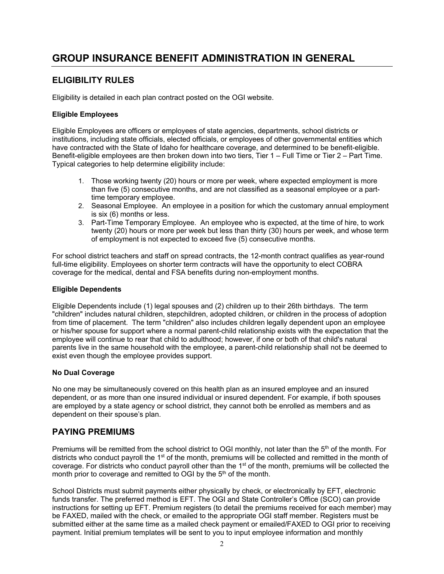# **GROUP INSURANCE BENEFIT ADMINISTRATION IN GENERAL**

## **ELIGIBILITY RULES**

Eligibility is detailed in each plan contract posted on the OGI website.

### **Eligible Employees**

Eligible Employees are officers or employees of state agencies, departments, school districts or institutions, including state officials, elected officials, or employees of other governmental entities which have contracted with the State of Idaho for healthcare coverage, and determined to be benefit-eligible. Benefit-eligible employees are then broken down into two tiers, Tier 1 – Full Time or Tier 2 – Part Time. Typical categories to help determine eligibility include:

- 1. Those working twenty (20) hours or more per week, where expected employment is more than five (5) consecutive months, and are not classified as a seasonal employee or a parttime temporary employee.
- 2. Seasonal Employee. An employee in a position for which the customary annual employment is six (6) months or less.
- 3. Part-Time Temporary Employee. An employee who is expected, at the time of hire, to work twenty (20) hours or more per week but less than thirty (30) hours per week, and whose term of employment is not expected to exceed five (5) consecutive months.

For school district teachers and staff on spread contracts, the 12-month contract qualifies as year-round full-time eligibility. Employees on shorter term contracts will have the opportunity to elect COBRA coverage for the medical, dental and FSA benefits during non-employment months.

### **Eligible Dependents**

Eligible Dependents include (1) legal spouses and (2) children up to their 26th birthdays. The term "children" includes natural children, stepchildren, adopted children, or children in the process of adoption from time of placement. The term "children" also includes children legally dependent upon an employee or his/her spouse for support where a normal parent-child relationship exists with the expectation that the employee will continue to rear that child to adulthood; however, if one or both of that child's natural parents live in the same household with the employee, a parent-child relationship shall not be deemed to exist even though the employee provides support.

### **No Dual Coverage**

No one may be simultaneously covered on this health plan as an insured employee and an insured dependent, or as more than one insured individual or insured dependent. For example, if both spouses are employed by a state agency or school district, they cannot both be enrolled as members and as dependent on their spouse's plan.

## **PAYING PREMIUMS**

Premiums will be remitted from the school district to OGI monthly, not later than the  $5<sup>th</sup>$  of the month. For districts who conduct payroll the  $1<sup>st</sup>$  of the month, premiums will be collected and remitted in the month of coverage. For districts who conduct payroll other than the 1<sup>st</sup> of the month, premiums will be collected the month prior to coverage and remitted to OGI by the  $5<sup>th</sup>$  of the month.

School Districts must submit payments either physically by check, or electronically by EFT, electronic funds transfer. The preferred method is EFT. The OGI and State Controller's Office (SCO) can provide instructions for setting up EFT. Premium registers (to detail the premiums received for each member) may be FAXED, mailed with the check, or emailed to the appropriate OGI staff member. Registers must be submitted either at the same time as a mailed check payment or emailed/FAXED to OGI prior to receiving payment. Initial premium templates will be sent to you to input employee information and monthly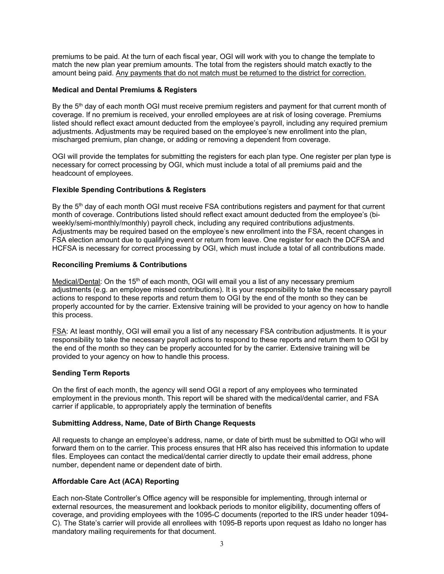premiums to be paid. At the turn of each fiscal year, OGI will work with you to change the template to match the new plan year premium amounts. The total from the registers should match exactly to the amount being paid. Any payments that do not match must be returned to the district for correction.

#### **Medical and Dental Premiums & Registers**

By the 5<sup>th</sup> day of each month OGI must receive premium registers and payment for that current month of coverage. If no premium is received, your enrolled employees are at risk of losing coverage. Premiums listed should reflect exact amount deducted from the employee's payroll, including any required premium adjustments. Adjustments may be required based on the employee's new enrollment into the plan, mischarged premium, plan change, or adding or removing a dependent from coverage.

OGI will provide the templates for submitting the registers for each plan type. One register per plan type is necessary for correct processing by OGI, which must include a total of all premiums paid and the headcount of employees.

#### **Flexible Spending Contributions & Registers**

By the 5<sup>th</sup> day of each month OGI must receive FSA contributions registers and payment for that current month of coverage. Contributions listed should reflect exact amount deducted from the employee's (biweekly/semi-monthly/monthly) payroll check, including any required contributions adjustments. Adjustments may be required based on the employee's new enrollment into the FSA, recent changes in FSA election amount due to qualifying event or return from leave. One register for each the DCFSA and HCFSA is necessary for correct processing by OGI, which must include a total of all contributions made.

#### **Reconciling Premiums & Contributions**

Medical/Dental: On the  $15<sup>th</sup>$  of each month, OGI will email you a list of any necessary premium adjustments (e.g. an employee missed contributions). It is your responsibility to take the necessary payroll actions to respond to these reports and return them to OGI by the end of the month so they can be properly accounted for by the carrier. Extensive training will be provided to your agency on how to handle this process.

FSA: At least monthly, OGI will email you a list of any necessary FSA contribution adjustments. It is your responsibility to take the necessary payroll actions to respond to these reports and return them to OGI by the end of the month so they can be properly accounted for by the carrier. Extensive training will be provided to your agency on how to handle this process.

### **Sending Term Reports**

On the first of each month, the agency will send OGI a report of any employees who terminated employment in the previous month. This report will be shared with the medical/dental carrier, and FSA carrier if applicable, to appropriately apply the termination of benefits

#### **Submitting Address, Name, Date of Birth Change Requests**

All requests to change an employee's address, name, or date of birth must be submitted to OGI who will forward them on to the carrier. This process ensures that HR also has received this information to update files. Employees can contact the medical/dental carrier directly to update their email address, phone number, dependent name or dependent date of birth.

### **Affordable Care Act (ACA) Reporting**

Each non-State Controller's Office agency will be responsible for implementing, through internal or external resources, the measurement and lookback periods to monitor eligibility, documenting offers of coverage, and providing employees with the 1095-C documents (reported to the IRS under header 1094- C). The State's carrier will provide all enrollees with 1095-B reports upon request as Idaho no longer has mandatory mailing requirements for that document.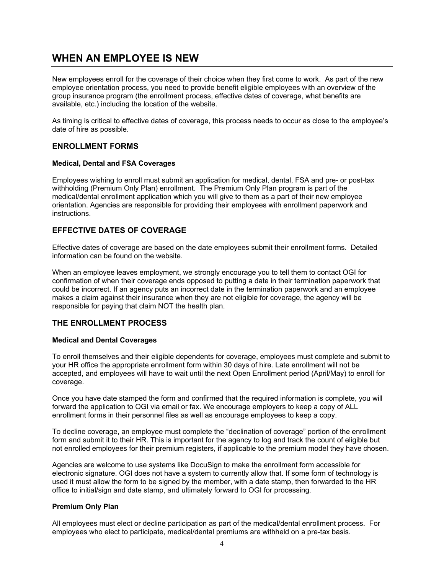## **WHEN AN EMPLOYEE IS NEW**

New employees enroll for the coverage of their choice when they first come to work. As part of the new employee orientation process, you need to provide benefit eligible employees with an overview of the group insurance program (the enrollment process, effective dates of coverage, what benefits are available, etc.) including the location of the website.

As timing is critical to effective dates of coverage, this process needs to occur as close to the employee's date of hire as possible.

## **ENROLLMENT FORMS**

#### **Medical, Dental and FSA Coverages**

Employees wishing to enroll must submit an application for medical, dental, FSA and pre- or post-tax withholding (Premium Only Plan) enrollment. The Premium Only Plan program is part of the medical/dental enrollment application which you will give to them as a part of their new employee orientation. Agencies are responsible for providing their employees with enrollment paperwork and instructions.

## **EFFECTIVE DATES OF COVERAGE**

Effective dates of coverage are based on the date employees submit their enrollment forms. Detailed information can be found on the website.

When an employee leaves employment, we strongly encourage you to tell them to contact OGI for confirmation of when their coverage ends opposed to putting a date in their termination paperwork that could be incorrect. If an agency puts an incorrect date in the termination paperwork and an employee makes a claim against their insurance when they are not eligible for coverage, the agency will be responsible for paying that claim NOT the health plan.

## **THE ENROLLMENT PROCESS**

#### **Medical and Dental Coverages**

To enroll themselves and their eligible dependents for coverage, employees must complete and submit to your HR office the appropriate enrollment form within 30 days of hire. Late enrollment will not be accepted, and employees will have to wait until the next Open Enrollment period (April/May) to enroll for coverage.

Once you have date stamped the form and confirmed that the required information is complete, you will forward the application to OGI via email or fax. We encourage employers to keep a copy of ALL enrollment forms in their personnel files as well as encourage employees to keep a copy.

To decline coverage, an employee must complete the "declination of coverage" portion of the enrollment form and submit it to their HR. This is important for the agency to log and track the count of eligible but not enrolled employees for their premium registers, if applicable to the premium model they have chosen.

Agencies are welcome to use systems like DocuSign to make the enrollment form accessible for electronic signature. OGI does not have a system to currently allow that. If some form of technology is used it must allow the form to be signed by the member, with a date stamp, then forwarded to the HR office to initial/sign and date stamp, and ultimately forward to OGI for processing.

### **Premium Only Plan**

All employees must elect or decline participation as part of the medical/dental enrollment process. For employees who elect to participate, medical/dental premiums are withheld on a pre-tax basis.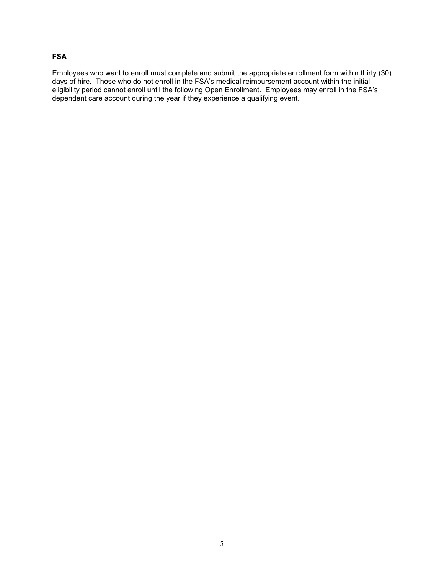### **FSA**

Employees who want to enroll must complete and submit the appropriate enrollment form within thirty (30) days of hire. Those who do not enroll in the FSA's medical reimbursement account within the initial eligibility period cannot enroll until the following Open Enrollment. Employees may enroll in the FSA's dependent care account during the year if they experience a qualifying event.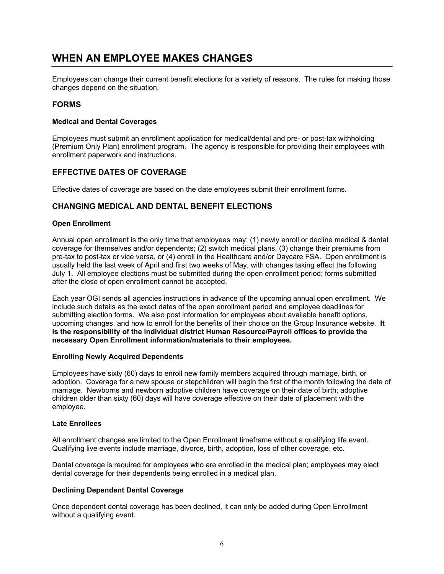## **WHEN AN EMPLOYEE MAKES CHANGES**

Employees can change their current benefit elections for a variety of reasons. The rules for making those changes depend on the situation.

### **FORMS**

#### **Medical and Dental Coverages**

Employees must submit an enrollment application for medical/dental and pre- or post-tax withholding (Premium Only Plan) enrollment program. The agency is responsible for providing their employees with enrollment paperwork and instructions.

#### **EFFECTIVE DATES OF COVERAGE**

Effective dates of coverage are based on the date employees submit their enrollment forms.

### **CHANGING MEDICAL AND DENTAL BENEFIT ELECTIONS**

#### **Open Enrollment**

Annual open enrollment is the only time that employees may: (1) newly enroll or decline medical & dental coverage for themselves and/or dependents; (2) switch medical plans, (3) change their premiums from pre-tax to post-tax or vice versa, or (4) enroll in the Healthcare and/or Daycare FSA. Open enrollment is usually held the last week of April and first two weeks of May, with changes taking effect the following July 1. All employee elections must be submitted during the open enrollment period; forms submitted after the close of open enrollment cannot be accepted.

Each year OGI sends all agencies instructions in advance of the upcoming annual open enrollment. We include such details as the exact dates of the open enrollment period and employee deadlines for submitting election forms. We also post information for employees about available benefit options, upcoming changes, and how to enroll for the benefits of their choice on the Group Insurance website. **It is the responsibility of the individual district Human Resource/Payroll offices to provide the necessary Open Enrollment information/materials to their employees.** 

#### **Enrolling Newly Acquired Dependents**

Employees have sixty (60) days to enroll new family members acquired through marriage, birth, or adoption. Coverage for a new spouse or stepchildren will begin the first of the month following the date of marriage. Newborns and newborn adoptive children have coverage on their date of birth; adoptive children older than sixty (60) days will have coverage effective on their date of placement with the employee.

#### **Late Enrollees**

All enrollment changes are limited to the Open Enrollment timeframe without a qualifying life event. Qualifying live events include marriage, divorce, birth, adoption, loss of other coverage, etc.

Dental coverage is required for employees who are enrolled in the medical plan; employees may elect dental coverage for their dependents being enrolled in a medical plan.

#### **Declining Dependent Dental Coverage**

Once dependent dental coverage has been declined, it can only be added during Open Enrollment without a qualifying event.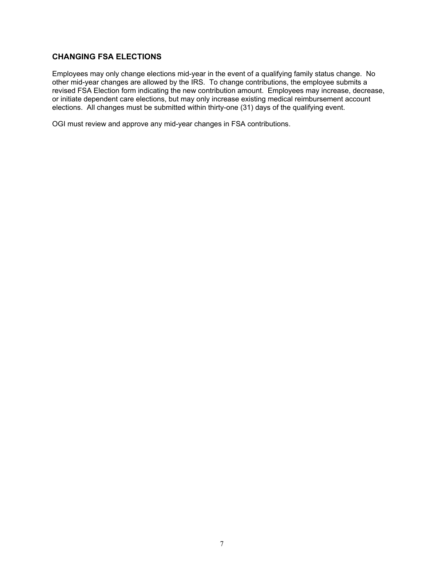## **CHANGING FSA ELECTIONS**

Employees may only change elections mid-year in the event of a qualifying family status change. No other mid-year changes are allowed by the IRS. To change contributions, the employee submits a revised FSA Election form indicating the new contribution amount. Employees may increase, decrease, or initiate dependent care elections, but may only increase existing medical reimbursement account elections. All changes must be submitted within thirty-one (31) days of the qualifying event.

OGI must review and approve any mid-year changes in FSA contributions.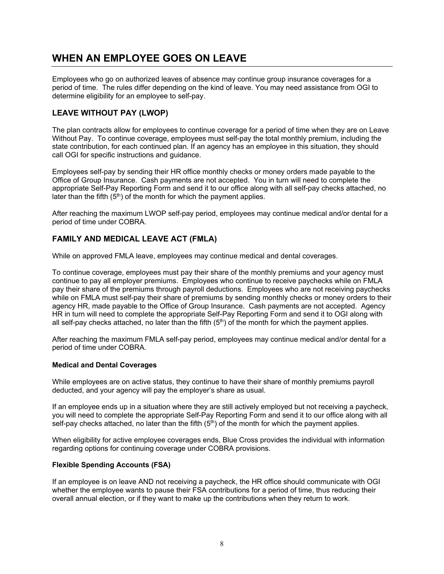# **WHEN AN EMPLOYEE GOES ON LEAVE**

Employees who go on authorized leaves of absence may continue group insurance coverages for a period of time. The rules differ depending on the kind of leave. You may need assistance from OGI to determine eligibility for an employee to self-pay.

## **LEAVE WITHOUT PAY (LWOP)**

The plan contracts allow for employees to continue coverage for a period of time when they are on Leave Without Pay. To continue coverage, employees must self-pay the total monthly premium, including the state contribution, for each continued plan. If an agency has an employee in this situation, they should call OGI for specific instructions and guidance.

Employees self-pay by sending their HR office monthly checks or money orders made payable to the Office of Group Insurance. Cash payments are not accepted. You in turn will need to complete the appropriate Self-Pay Reporting Form and send it to our office along with all self-pay checks attached, no later than the fifth  $(5<sup>th</sup>)$  of the month for which the payment applies.

After reaching the maximum LWOP self-pay period, employees may continue medical and/or dental for a period of time under COBRA.

## **FAMILY AND MEDICAL LEAVE ACT (FMLA)**

While on approved FMLA leave, employees may continue medical and dental coverages.

To continue coverage, employees must pay their share of the monthly premiums and your agency must continue to pay all employer premiums. Employees who continue to receive paychecks while on FMLA pay their share of the premiums through payroll deductions. Employees who are not receiving paychecks while on FMLA must self-pay their share of premiums by sending monthly checks or money orders to their agency HR, made payable to the Office of Group Insurance. Cash payments are not accepted. Agency HR in turn will need to complete the appropriate Self-Pay Reporting Form and send it to OGI along with all self-pay checks attached, no later than the fifth  $(5<sup>th</sup>)$  of the month for which the payment applies.

After reaching the maximum FMLA self-pay period, employees may continue medical and/or dental for a period of time under COBRA.

### **Medical and Dental Coverages**

While employees are on active status, they continue to have their share of monthly premiums payroll deducted, and your agency will pay the employer's share as usual.

If an employee ends up in a situation where they are still actively employed but not receiving a paycheck, you will need to complete the appropriate Self-Pay Reporting Form and send it to our office along with all self-pay checks attached, no later than the fifth  $(5<sup>th</sup>)$  of the month for which the payment applies.

When eligibility for active employee coverages ends, Blue Cross provides the individual with information regarding options for continuing coverage under COBRA provisions.

### **Flexible Spending Accounts (FSA)**

If an employee is on leave AND not receiving a paycheck, the HR office should communicate with OGI whether the employee wants to pause their FSA contributions for a period of time, thus reducing their overall annual election, or if they want to make up the contributions when they return to work.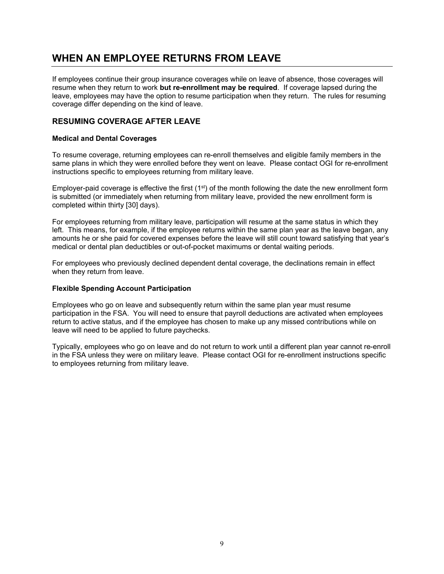## **WHEN AN EMPLOYEE RETURNS FROM LEAVE**

If employees continue their group insurance coverages while on leave of absence, those coverages will resume when they return to work **but re-enrollment may be required**. If coverage lapsed during the leave, employees may have the option to resume participation when they return. The rules for resuming coverage differ depending on the kind of leave.

## **RESUMING COVERAGE AFTER LEAVE**

#### **Medical and Dental Coverages**

To resume coverage, returning employees can re-enroll themselves and eligible family members in the same plans in which they were enrolled before they went on leave. Please contact OGI for re-enrollment instructions specific to employees returning from military leave.

Employer-paid coverage is effective the first  $(1<sup>st</sup>)$  of the month following the date the new enrollment form is submitted (or immediately when returning from military leave, provided the new enrollment form is completed within thirty [30] days).

For employees returning from military leave, participation will resume at the same status in which they left. This means, for example, if the employee returns within the same plan year as the leave began, any amounts he or she paid for covered expenses before the leave will still count toward satisfying that year's medical or dental plan deductibles or out-of-pocket maximums or dental waiting periods.

For employees who previously declined dependent dental coverage, the declinations remain in effect when they return from leave.

#### **Flexible Spending Account Participation**

Employees who go on leave and subsequently return within the same plan year must resume participation in the FSA. You will need to ensure that payroll deductions are activated when employees return to active status, and if the employee has chosen to make up any missed contributions while on leave will need to be applied to future paychecks.

Typically, employees who go on leave and do not return to work until a different plan year cannot re-enroll in the FSA unless they were on military leave. Please contact OGI for re-enrollment instructions specific to employees returning from military leave.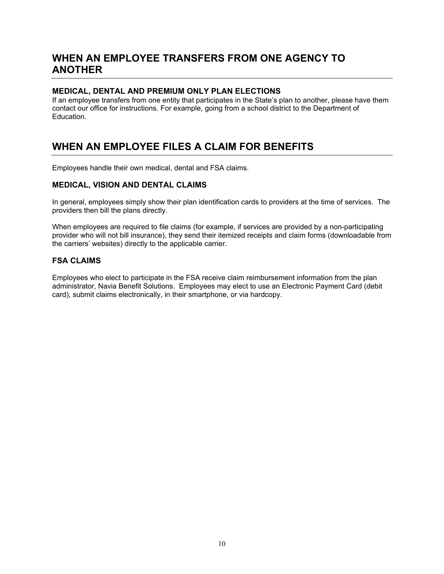## **WHEN AN EMPLOYEE TRANSFERS FROM ONE AGENCY TO ANOTHER**

## **MEDICAL, DENTAL AND PREMIUM ONLY PLAN ELECTIONS**

If an employee transfers from one entity that participates in the State's plan to another, please have them contact our office for instructions. For example, going from a school district to the Department of Education.

## **WHEN AN EMPLOYEE FILES A CLAIM FOR BENEFITS**

Employees handle their own medical, dental and FSA claims.

## **MEDICAL, VISION AND DENTAL CLAIMS**

In general, employees simply show their plan identification cards to providers at the time of services. The providers then bill the plans directly.

When employees are required to file claims (for example, if services are provided by a non-participating provider who will not bill insurance), they send their itemized receipts and claim forms (downloadable from the carriers' websites) directly to the applicable carrier.

## **FSA CLAIMS**

Employees who elect to participate in the FSA receive claim reimbursement information from the plan administrator, Navia Benefit Solutions. Employees may elect to use an Electronic Payment Card (debit card), submit claims electronically, in their smartphone, or via hardcopy.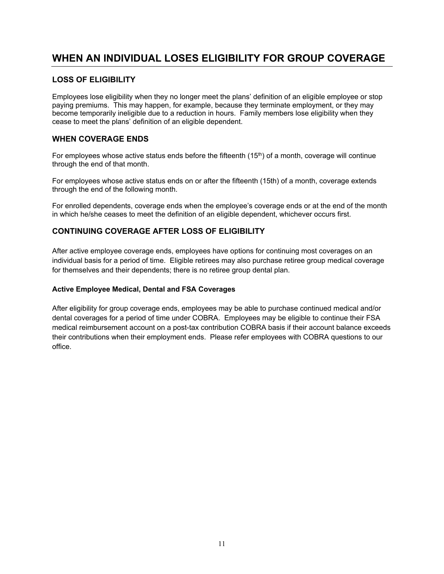# **WHEN AN INDIVIDUAL LOSES ELIGIBILITY FOR GROUP COVERAGE**

## **LOSS OF ELIGIBILITY**

Employees lose eligibility when they no longer meet the plans' definition of an eligible employee or stop paying premiums. This may happen, for example, because they terminate employment, or they may become temporarily ineligible due to a reduction in hours. Family members lose eligibility when they cease to meet the plans' definition of an eligible dependent.

## **WHEN COVERAGE ENDS**

For employees whose active status ends before the fifteenth  $(15<sup>th</sup>)$  of a month, coverage will continue through the end of that month.

For employees whose active status ends on or after the fifteenth (15th) of a month, coverage extends through the end of the following month.

For enrolled dependents, coverage ends when the employee's coverage ends or at the end of the month in which he/she ceases to meet the definition of an eligible dependent, whichever occurs first.

## **CONTINUING COVERAGE AFTER LOSS OF ELIGIBILITY**

After active employee coverage ends, employees have options for continuing most coverages on an individual basis for a period of time. Eligible retirees may also purchase retiree group medical coverage for themselves and their dependents; there is no retiree group dental plan.

### **Active Employee Medical, Dental and FSA Coverages**

After eligibility for group coverage ends, employees may be able to purchase continued medical and/or dental coverages for a period of time under COBRA. Employees may be eligible to continue their FSA medical reimbursement account on a post-tax contribution COBRA basis if their account balance exceeds their contributions when their employment ends. Please refer employees with COBRA questions to our office.